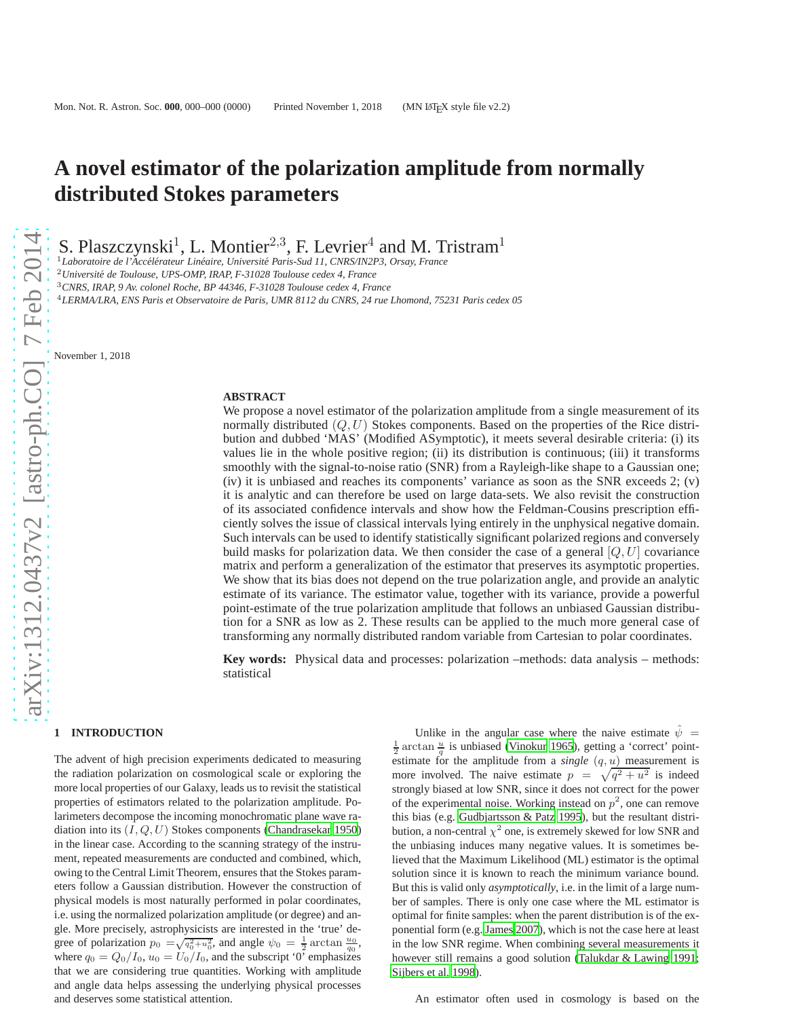# **A novel estimator of the polarization amplitude from normally distributed Stokes parameters**

S. Plaszczynski<sup>1</sup>, L. Montier<sup>2,3</sup>, F. Levrier<sup>4</sup> and M. Tristram<sup>1</sup>

<sup>1</sup>Laboratoire de l'Accélérateur Linéaire, Université Paris-Sud 11, CNRS/IN2P3, Orsay, France

<sup>2</sup>*Universit´e de Toulouse, UPS-OMP, IRAP, F-31028 Toulouse cedex 4, France*

<sup>3</sup>*CNRS, IRAP, 9 Av. colonel Roche, BP 44346, F-31028 Toulouse cedex 4, France*

<sup>4</sup>*LERMA/LRA, ENS Paris et Observatoire de Paris, UMR 8112 du CNRS, 24 rue Lhomond, 75231 Paris cedex 05*

November 1, 2018

## **ABSTRACT**

We propose a novel estimator of the polarization amplitude from a single measurement of its normally distributed  $(Q, U)$  Stokes components. Based on the properties of the Rice distribution and dubbed 'MAS' (Modified ASymptotic), it meets several desirable criteria: (i) its values lie in the whole positive region; (ii) its distribution is continuous; (iii) it transforms smoothly with the signal-to-noise ratio (SNR) from a Rayleigh-like shape to a Gaussian one; (iv) it is unbiased and reaches its components' variance as soon as the SNR exceeds 2; (v) it is analytic and can therefore be used on large data-sets. We also revisit the construction of its associated confidence intervals and show how the Feldman-Cousins prescription efficiently solves the issue of classical intervals lying entirely in the unphysical negative domain. Such intervals can be used to identify statistically significant polarized regions and conversely build masks for polarization data. We then consider the case of a general  $|Q, U|$  covariance matrix and perform a generalization of the estimator that preserves its asymptotic properties. We show that its bias does not depend on the true polarization angle, and provide an analytic estimate of its variance. The estimator value, together with its variance, provide a powerful point-estimate of the true polarization amplitude that follows an unbiased Gaussian distribution for a SNR as low as 2. These results can be applied to the much more general case of transforming any normally distributed random variable from Cartesian to polar coordinates.

**Key words:** Physical data and processes: polarization –methods: data analysis – methods: statistical

#### **1 INTRODUCTION**

The advent of high precision experiments dedicated to measuring the radiation polarization on cosmological scale or exploring the more local properties of our Galaxy, leads us to revisit the statistical properties of estimators related to the polarization amplitude. Polarimeters decompose the incoming monochromatic plane wave radiation into its  $(I, Q, U)$  Stokes components [\(Chandrasekar 1950](#page-7-0)) in the linear case. According to the scanning strategy of the instrument, repeated measurements are conducted and combined, which, owing to the Central Limit Theorem, ensures that the Stokes parameters follow a Gaussian distribution. However the construction of physical models is most naturally performed in polar coordinates, i.e. using the normalized polarization amplitude (or degree) and angle. More precisely, astrophysicists are interested in the 'true' degree of polarization  $p_0 = \sqrt{q_0^2 + u_0^2}$ , and angle  $\psi_0 = \frac{1}{2} \arctan \frac{u_0}{q_0}$ , where  $q_0 = Q_0/I_0$ ,  $u_0 = U_0/I_0$ , and the subscript '0' emphasizes that we are considering true quantities. Working with amplitude and angle data helps assessing the underlying physical processes and deserves some statistical attention.

Unlike in the angular case where the naive estimate  $\psi =$  $\frac{1}{2}$  arctan  $\frac{u}{q}$  is unbiased [\(Vinokur 1965](#page-7-1)), getting a 'correct' pointestimate for the amplitude from a *single*  $(q, u)$  measurement is more involved. The naive estimate  $p = \sqrt{q^2 + u^2}$  is indeed strongly biased at low SNR, since it does not correct for the power of the experimental noise. Working instead on  $p^2$ , one can remove this bias (e.g. [Gudbjartsson & Patz 1995\)](#page-7-2), but the resultant distribution, a non-central  $\chi^2$  one, is extremely skewed for low SNR and the unbiasing induces many negative values. It is sometimes believed that the Maximum Likelihood (ML) estimator is the optimal solution since it is known to reach the minimum variance bound. But this is valid only *asymptotically*, i.e. in the limit of a large number of samples. There is only one case where the ML estimator is optimal for finite samples: when the parent distribution is of the exponential form (e.g. [James 2007](#page-7-3)), which is not the case here at least in the low SNR regime. When combining several measurements it however still remains a good solution [\(Talukdar & Lawing 1991;](#page-7-4) [Sijbers et al. 1998\)](#page-7-5).

An estimator often used in cosmology is based on the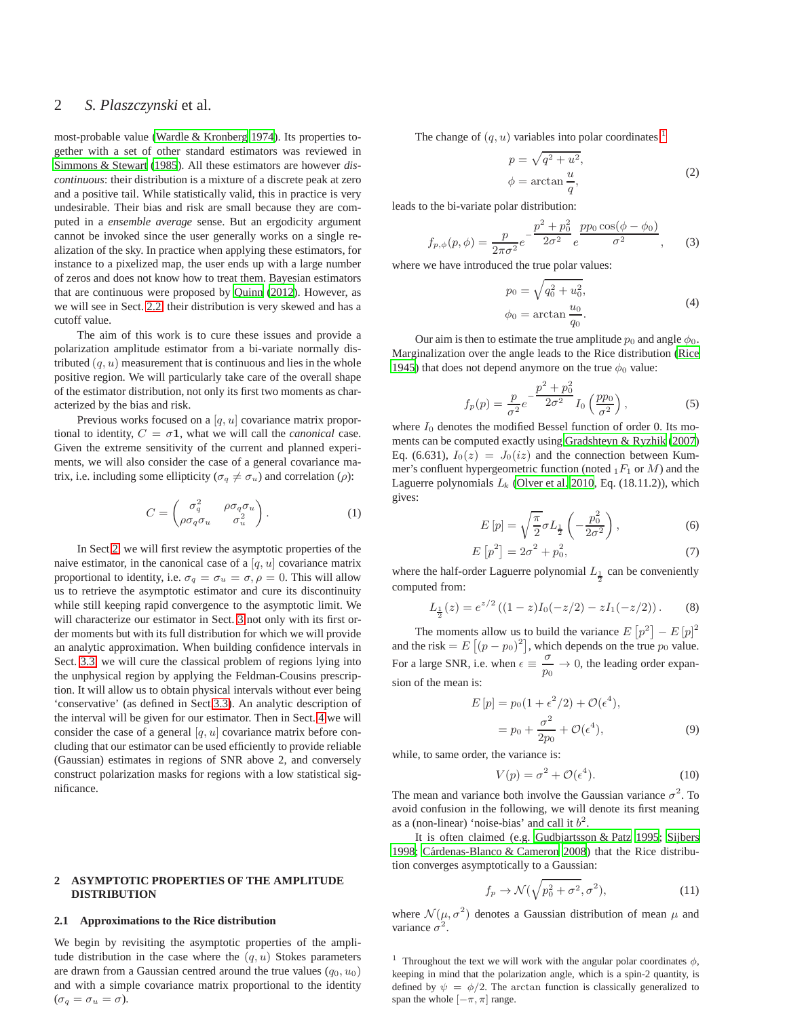# 2 *S. Plaszczynski* et al.

most-probable value [\(Wardle & Kronberg 1974](#page-7-6)). Its properties together with a set of other standard estimators was reviewed in [Simmons & Stewart \(1985](#page-7-7)). All these estimators are however *discontinuous*: their distribution is a mixture of a discrete peak at zero and a positive tail. While statistically valid, this in practice is very undesirable. Their bias and risk are small because they are computed in a *ensemble average* sense. But an ergodicity argument cannot be invoked since the user generally works on a single realization of the sky. In practice when applying these estimators, for instance to a pixelized map, the user ends up with a large number of zeros and does not know how to treat them. Bayesian estimators that are continuous were proposed by [Quinn](#page-7-8) [\(2012](#page-7-8)). However, as we will see in Sect. [2.2,](#page-2-0) their distribution is very skewed and has a cutoff value.

The aim of this work is to cure these issues and provide a polarization amplitude estimator from a bi-variate normally distributed  $(q, u)$  measurement that is continuous and lies in the whole positive region. We will particularly take care of the overall shape of the estimator distribution, not only its first two moments as characterized by the bias and risk.

Previous works focused on a  $[q, u]$  covariance matrix proportional to identity,  $C = \sigma \mathbf{1}$ , what we will call the *canonical* case. Given the extreme sensitivity of the current and planned experiments, we will also consider the case of a general covariance matrix, i.e. including some ellipticity ( $\sigma_q \neq \sigma_u$ ) and correlation ( $\rho$ ):

$$
C = \begin{pmatrix} \sigma_q^2 & \rho \sigma_q \sigma_u \\ \rho \sigma_q \sigma_u & \sigma_u^2 \end{pmatrix} . \tag{1}
$$

In Sect [2,](#page-1-0) we will first review the asymptotic properties of the naive estimator, in the canonical case of a  $[q, u]$  covariance matrix proportional to identity, i.e.  $\sigma_q = \sigma_u = \sigma$ ,  $\rho = 0$ . This will allow us to retrieve the asymptotic estimator and cure its discontinuity while still keeping rapid convergence to the asymptotic limit. We will characterize our estimator in Sect. [3](#page-3-0) not only with its first order moments but with its full distribution for which we will provide an analytic approximation. When building confidence intervals in Sect. [3.3,](#page-4-0) we will cure the classical problem of regions lying into the unphysical region by applying the Feldman-Cousins prescription. It will allow us to obtain physical intervals without ever being 'conservative' (as defined in Sect[.3.3\)](#page-4-0). An analytic description of the interval will be given for our estimator. Then in Sect. [4](#page-5-0) we will consider the case of a general  $[q, u]$  covariance matrix before concluding that our estimator can be used efficiently to provide reliable (Gaussian) estimates in regions of SNR above 2, and conversely construct polarization masks for regions with a low statistical significance.

## <span id="page-1-0"></span>**2 ASYMPTOTIC PROPERTIES OF THE AMPLITUDE DISTRIBUTION**

#### **2.1 Approximations to the Rice distribution**

We begin by revisiting the asymptotic properties of the amplitude distribution in the case where the  $(q, u)$  Stokes parameters are drawn from a Gaussian centred around the true values  $(q_0, u_0)$ and with a simple covariance matrix proportional to the identity  $(\sigma_q = \sigma_u = \sigma).$ 

The change of  $(q, u)$  variables into polar coordinates <sup>[1](#page-1-1)</sup>

$$
p = \sqrt{q^2 + u^2},
$$
  
\n
$$
\phi = \arctan \frac{u}{q},
$$
\n(2)

leads to the bi-variate polar distribution:

$$
f_{p,\phi}(p,\phi) = \frac{p}{2\pi\sigma^2} e^{-\frac{p^2 + p_0^2}{2\sigma^2}} e^{\frac{pp_0 \cos(\phi - \phi_0)}{\sigma^2}}, \quad (3)
$$

where we have introduced the true polar values:

$$
p_0 = \sqrt{q_0^2 + u_0^2},
$$
  
\n
$$
\phi_0 = \arctan \frac{u_0}{q_0}.
$$
\n(4)

Our aim is then to estimate the true amplitude  $p_0$  and angle  $\phi_0$ . Marginalization over the angle leads to the Rice distribution [\(Rice](#page-7-9) [1945](#page-7-9)) that does not depend anymore on the true  $\phi_0$  value:

<span id="page-1-5"></span>
$$
f_p(p) = \frac{p}{\sigma^2} e^{-\frac{p^2 + p_0^2}{2\sigma^2}} I_0\left(\frac{pp_0}{\sigma^2}\right),
$$
 (5)

where  $I_0$  denotes the modified Bessel function of order 0. Its moments can be computed exactly using [Gradshteyn & Ryzhik \(2007](#page-7-10)) Eq. (6.631),  $I_0(z) = J_0(iz)$  and the connection between Kummer's confluent hypergeometric function (noted  $_1F_1$  or  $M$ ) and the Laguerre polynomials  $L_k$  [\(Olver et al. 2010](#page-7-11), Eq. (18.11.2)), which gives:

$$
E[p] = \sqrt{\frac{\pi}{2}} \sigma L_{\frac{1}{2}} \left( -\frac{p_0^2}{2\sigma^2} \right),
$$
 (6)

$$
E\left[p^2\right] = 2\sigma^2 + p_0^2,\tag{7}
$$

where the half-order Laguerre polynomial  $L_{\frac{1}{2}}$  can be conveniently computed from:

$$
L_{\frac{1}{2}}(z) = e^{z/2} ((1-z)I_0(-z/2) - zI_1(-z/2)).
$$
 (8)

The moments allow us to build the variance  $E[p^2] - E[p]^2$ and the risk =  $E[(p - p_0)^2]$ , which depends on the true  $p_0$  value. For a large SNR, i.e. when  $\epsilon \equiv \frac{\sigma}{p_0}$  $\frac{6}{p_0} \to 0$ , the leading order expansion of the mean is:

$$
E[p] = p_0(1 + \epsilon^2/2) + \mathcal{O}(\epsilon^4),
$$
  
=  $p_0 + \frac{\sigma^2}{2p_0} + \mathcal{O}(\epsilon^4),$  (9)

while, to same order, the variance is:

<span id="page-1-3"></span><span id="page-1-2"></span>
$$
V(p) = \sigma^2 + \mathcal{O}(\epsilon^4). \tag{10}
$$

The mean and variance both involve the Gaussian variance  $\sigma^2$ . To avoid confusion in the following, we will denote its first meaning as a (non-linear) 'noise-bias' and call it  $b^2$ .

It is often claimed (e.g. [Gudbjartsson & Patz 1995;](#page-7-2) [Sijbers](#page-7-12) [1998](#page-7-12); Cárdenas-Blanco & Cameron 2008) that the Rice distribution converges asymptotically to a Gaussian:

<span id="page-1-4"></span>
$$
f_p \to \mathcal{N}(\sqrt{p_0^2 + \sigma^2}, \sigma^2), \tag{11}
$$

where  $\mathcal{N}(\mu, \sigma^2)$  denotes a Gaussian distribution of mean  $\mu$  and variance  $\sigma^2$ .

<span id="page-1-1"></span><sup>&</sup>lt;sup>1</sup> Throughout the text we will work with the angular polar coordinates  $\phi$ , keeping in mind that the polarization angle, which is a spin-2 quantity, is defined by  $\psi = \phi/2$ . The arctan function is classically generalized to span the whole  $[-\pi, \pi]$  range.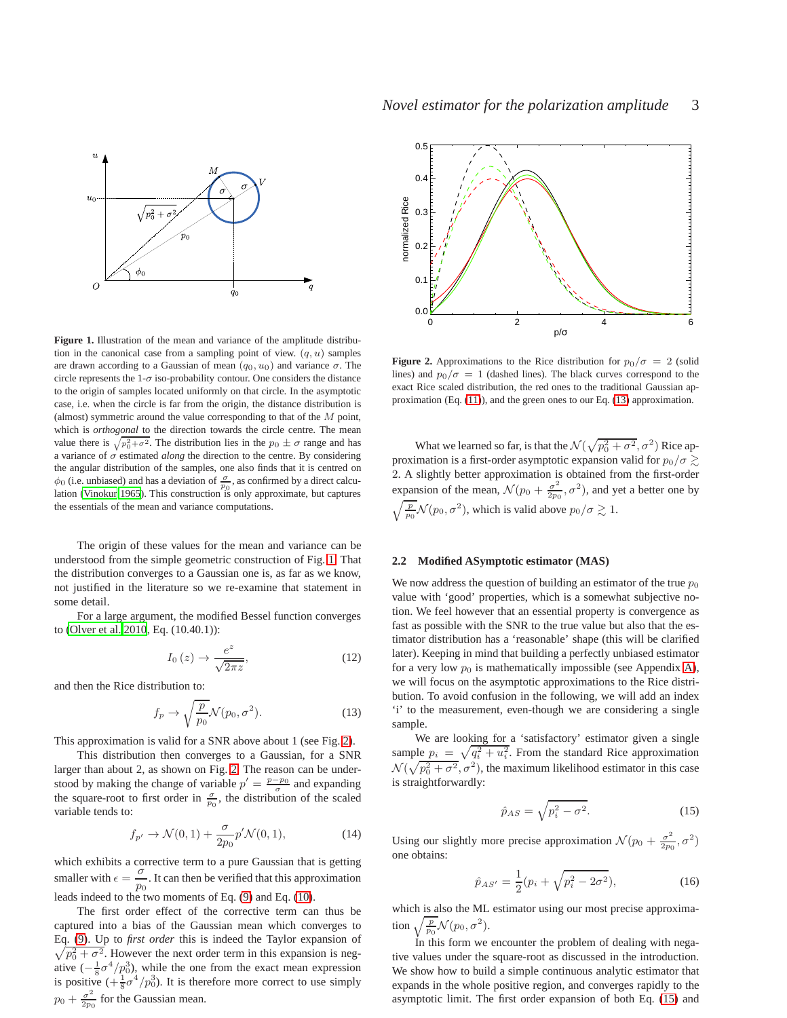

<span id="page-2-1"></span>**Figure 1.** Illustration of the mean and variance of the amplitude distribution in the canonical case from a sampling point of view.  $(q, u)$  samples are drawn according to a Gaussian of mean  $(q_0, u_0)$  and variance  $\sigma$ . The circle represents the  $1-\sigma$  iso-probability contour. One considers the distance to the origin of samples located uniformly on that circle. In the asymptotic case, i.e. when the circle is far from the origin, the distance distribution is (almost) symmetric around the value corresponding to that of the  $M$  point, which is *orthogonal* to the direction towards the circle centre. The mean value there is  $\sqrt{p_0^2 + \sigma^2}$ . The distribution lies in the  $p_0 \pm \sigma$  range and has a variance of  $\sigma$  estimated *along* the direction to the centre. By considering the angular distribution of the samples, one also finds that it is centred on  $\phi_0$  (i.e. unbiased) and has a deviation of  $\frac{\sigma}{p_0}$ , as confirmed by a direct calculation [\(Vinokur 1965](#page-7-1)). This construction is only approximate, but captures the essentials of the mean and variance computations.

The origin of these values for the mean and variance can be understood from the simple geometric construction of Fig. [1.](#page-2-1) That the distribution converges to a Gaussian one is, as far as we know, not justified in the literature so we re-examine that statement in some detail.

For a large argument, the modified Bessel function converges to [\(Olver et al. 2010](#page-7-11), Eq. (10.40.1)):

$$
I_0(z) \to \frac{e^z}{\sqrt{2\pi z}},\tag{12}
$$

and then the Rice distribution to:

<span id="page-2-3"></span>
$$
f_p \to \sqrt{\frac{p}{p_0}} \mathcal{N}(p_0, \sigma^2). \tag{13}
$$

This approximation is valid for a SNR above about 1 (see Fig. [2\)](#page-2-2).

This distribution then converges to a Gaussian, for a SNR larger than about 2, as shown on Fig. [2.](#page-2-2) The reason can be understood by making the change of variable  $p' = \frac{p-p_0}{\sigma}$  and expanding the square-root to first order in  $\frac{\sigma}{p_0}$ , the distribution of the scaled variable tends to:

$$
f_{p'} \to \mathcal{N}(0,1) + \frac{\sigma}{2p_0} p' \mathcal{N}(0,1), \tag{14}
$$

which exhibits a corrective term to a pure Gaussian that is getting smaller with  $\epsilon = \frac{\sigma}{\sigma}$  $\frac{6}{p_0}$ . It can then be verified that this approximation leads indeed to the two moments of Eq. [\(9\)](#page-1-2) and Eq. [\(10\)](#page-1-3).

The first order effect of the corrective term can thus be captured into a bias of the Gaussian mean which converges to Eq. [\(9\)](#page-1-2). Up to *first order* this is indeed the Taylor expansion of  $\sqrt{p_0^2 + \sigma^2}$ . However the next order term in this expansion is negative  $\left(-\frac{1}{8}\sigma^4/p_0^3\right)$ , while the one from the exact mean expression is positive  $\left(+\frac{1}{8}\sigma^4/p_0^3\right)$ . It is therefore more correct to use simply  $p_0 + \frac{\sigma^2}{2m}$  $\frac{\sigma^2}{2p_0}$  for the Gaussian mean.



<span id="page-2-2"></span>**Figure 2.** Approximations to the Rice distribution for  $p_0/\sigma = 2$  (solid lines) and  $p_0/\sigma = 1$  (dashed lines). The black curves correspond to the exact Rice scaled distribution, the red ones to the traditional Gaussian approximation (Eq. [\(11\)](#page-1-4)), and the green ones to our Eq. [\(13\)](#page-2-3) approximation.

What we learned so far, is that the  $\mathcal{N}(\sqrt{p_0^2 + \sigma^2}, \sigma^2)$  Rice approximation is a first-order asymptotic expansion valid for  $p_0/\sigma \gtrsim$ 2. A slightly better approximation is obtained from the first-order expansion of the mean,  $\mathcal{N}(p_0 + \frac{\sigma^2}{2p_0})$  $\frac{\sigma^2}{2p_0}$ ,  $\sigma^2$ ), and yet a better one by  $\sqrt{\frac{p}{p_0}}\mathcal{N}(p_0, \sigma^2)$ , which is valid above  $p_0/\sigma \gtrsim 1$ .

#### <span id="page-2-0"></span>**2.2 Modified ASymptotic estimator (MAS)**

We now address the question of building an estimator of the true  $p_0$ value with 'good' properties, which is a somewhat subjective notion. We feel however that an essential property is convergence as fast as possible with the SNR to the true value but also that the estimator distribution has a 'reasonable' shape (this will be clarified later). Keeping in mind that building a perfectly unbiased estimator for a very low  $p_0$  is mathematically impossible (see Appendix [A\)](#page-8-0), we will focus on the asymptotic approximations to the Rice distribution. To avoid confusion in the following, we will add an index 'i' to the measurement, even-though we are considering a single sample.

We are looking for a 'satisfactory' estimator given a single sample  $p_i = \sqrt{q_i^2 + u_i^2}$ . From the standard Rice approximation  $\mathcal{N}(\sqrt{p_0^2 + \sigma^2}, \sigma^2)$ , the maximum likelihood estimator in this case is straightforwardly:

<span id="page-2-4"></span>
$$
\hat{p}_{AS} = \sqrt{p_i^2 - \sigma^2}.\tag{15}
$$

Using our slightly more precise approximation  $\mathcal{N}(p_0 + \frac{\sigma^2}{2p_0})$  $\frac{\sigma^2}{2p_0}, \sigma^2)$ one obtains:

<span id="page-2-5"></span>
$$
\hat{p}_{AS'} = \frac{1}{2}(p_i + \sqrt{p_i^2 - 2\sigma^2}),\tag{16}
$$

which is also the ML estimator using our most precise approximation  $\sqrt{\frac{p}{p_0}}\mathcal{N}(p_0, \sigma^2)$ .

In this form we encounter the problem of dealing with negative values under the square-root as discussed in the introduction. We show how to build a simple continuous analytic estimator that expands in the whole positive region, and converges rapidly to the asymptotic limit. The first order expansion of both Eq. [\(15\)](#page-2-4) and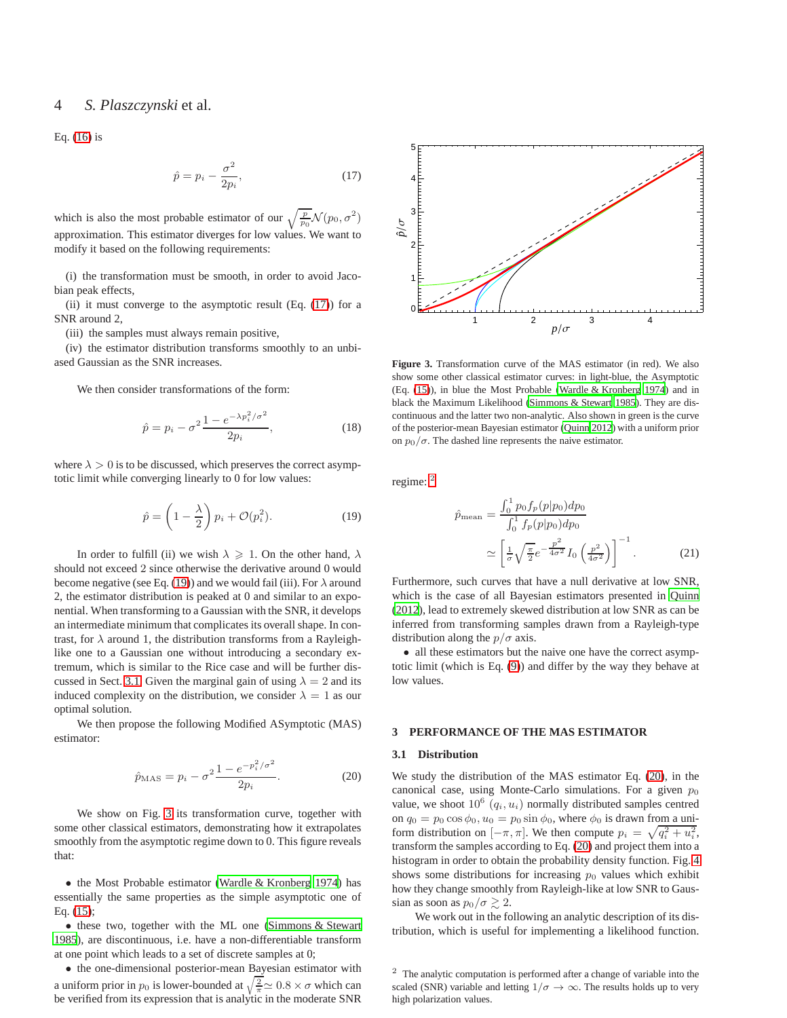## 4 *S. Plaszczynski* et al.

Eq. [\(16\)](#page-2-5) is

<span id="page-3-1"></span>
$$
\hat{p} = p_i - \frac{\sigma^2}{2p_i},\tag{17}
$$

which is also the most probable estimator of our  $\sqrt{\frac{p}{p_0}}\mathcal{N}(p_0, \sigma^2)$ approximation. This estimator diverges for low values. We want to modify it based on the following requirements:

(i) the transformation must be smooth, in order to avoid Jacobian peak effects,

(ii) it must converge to the asymptotic result  $(Eq. (17))$  $(Eq. (17))$  $(Eq. (17))$  for a SNR around 2,

(iii) the samples must always remain positive,

(iv) the estimator distribution transforms smoothly to an unbiased Gaussian as the SNR increases.

We then consider transformations of the form:

$$
\hat{p} = p_i - \sigma^2 \frac{1 - e^{-\lambda p_i^2/\sigma^2}}{2p_i},
$$
\n(18)

where  $\lambda > 0$  is to be discussed, which preserves the correct asymptotic limit while converging linearly to 0 for low values:

<span id="page-3-2"></span>
$$
\hat{p} = \left(1 - \frac{\lambda}{2}\right)p_i + \mathcal{O}(p_i^2). \tag{19}
$$

In order to fulfill (ii) we wish  $\lambda \geq 1$ . On the other hand,  $\lambda$ should not exceed 2 since otherwise the derivative around 0 would become negative (see Eq. [\(19\)](#page-3-2)) and we would fail (iii). For  $\lambda$  around 2, the estimator distribution is peaked at 0 and similar to an exponential. When transforming to a Gaussian with the SNR, it develops an intermediate minimum that complicates its overall shape. In contrast, for  $\lambda$  around 1, the distribution transforms from a Rayleighlike one to a Gaussian one without introducing a secondary extremum, which is similar to the Rice case and will be further dis-cussed in Sect. [3.1.](#page-3-3) Given the marginal gain of using  $\lambda = 2$  and its induced complexity on the distribution, we consider  $\lambda = 1$  as our optimal solution.

We then propose the following Modified ASymptotic (MAS) estimator:

<span id="page-3-6"></span>
$$
\hat{p}_{\text{MAS}} = p_i - \sigma^2 \frac{1 - e^{-p_i^2/\sigma^2}}{2p_i}.
$$
\n(20)

We show on Fig. [3](#page-3-4) its transformation curve, together with some other classical estimators, demonstrating how it extrapolates smoothly from the asymptotic regime down to 0. This figure reveals that:

• the Most Probable estimator [\(Wardle & Kronberg 1974](#page-7-6)) has essentially the same properties as the simple asymptotic one of Eq. [\(15\)](#page-2-4);

• these two, together with the ML one [\(Simmons & Stewart](#page-7-7) [1985\)](#page-7-7), are discontinuous, i.e. have a non-differentiable transform at one point which leads to a set of discrete samples at 0;

• the one-dimensional posterior-mean Bayesian estimator with a uniform prior in  $p_0$  is lower-bounded at  $\sqrt{\frac{2}{\pi}} \approx 0.8 \times \sigma$  which can be verified from its expression that is analytic in the moderate SNR



<span id="page-3-4"></span>**Figure 3.** Transformation curve of the MAS estimator (in red). We also show some other classical estimator curves: in light-blue, the Asymptotic (Eq. [\(15\)](#page-2-4)), in blue the Most Probable [\(Wardle & Kronberg 1974\)](#page-7-6) and in black the Maximum Likelihood [\(Simmons & Stewart 1985\)](#page-7-7). They are discontinuous and the latter two non-analytic. Also shown in green is the curve of the posterior-mean Bayesian estimator [\(Quinn 2012](#page-7-8)) with a uniform prior on  $p_0/\sigma$ . The dashed line represents the naive estimator.

regime: <sup>[2](#page-3-5)</sup>

$$
\hat{p}_{\text{mean}} = \frac{\int_0^1 p_0 f_p(p|p_0) dp_0}{\int_0^1 f_p(p|p_0) dp_0} \approx \left[ \frac{1}{\sigma} \sqrt{\frac{\pi}{2}} e^{-\frac{p^2}{4\sigma^2}} I_0 \left( \frac{p^2}{4\sigma^2} \right) \right]^{-1} .
$$
\n(21)

Furthermore, such curves that have a null derivative at low SNR, which is the case of all Bayesian estimators presented in [Quinn](#page-7-8) [\(2012](#page-7-8)), lead to extremely skewed distribution at low SNR as can be inferred from transforming samples drawn from a Rayleigh-type distribution along the  $p/\sigma$  axis.

• all these estimators but the naive one have the correct asymptotic limit (which is Eq. [\(9\)](#page-1-2)) and differ by the way they behave at low values.

## <span id="page-3-3"></span><span id="page-3-0"></span>**3 PERFORMANCE OF THE MAS ESTIMATOR**

#### **3.1 Distribution**

We study the distribution of the MAS estimator Eq. [\(20\)](#page-3-6), in the canonical case, using Monte-Carlo simulations. For a given  $p_0$ value, we shoot  $10^6$   $(q_i, u_i)$  normally distributed samples centred on  $q_0 = p_0 \cos \phi_0$ ,  $u_0 = p_0 \sin \phi_0$ , where  $\phi_0$  is drawn from a uniform distribution on  $[-\pi, \pi]$ . We then compute  $p_i = \sqrt{q_i^2 + u_i^2}$ , transform the samples according to Eq. [\(20\)](#page-3-6) and project them into a histogram in order to obtain the probability density function. Fig. [4](#page-4-1) shows some distributions for increasing  $p_0$  values which exhibit how they change smoothly from Rayleigh-like at low SNR to Gaussian as soon as  $p_0/\sigma \gtrsim 2$ .

We work out in the following an analytic description of its distribution, which is useful for implementing a likelihood function.

<span id="page-3-5"></span><sup>2</sup> The analytic computation is performed after a change of variable into the scaled (SNR) variable and letting  $1/\sigma \rightarrow \infty$ . The results holds up to very high polarization values.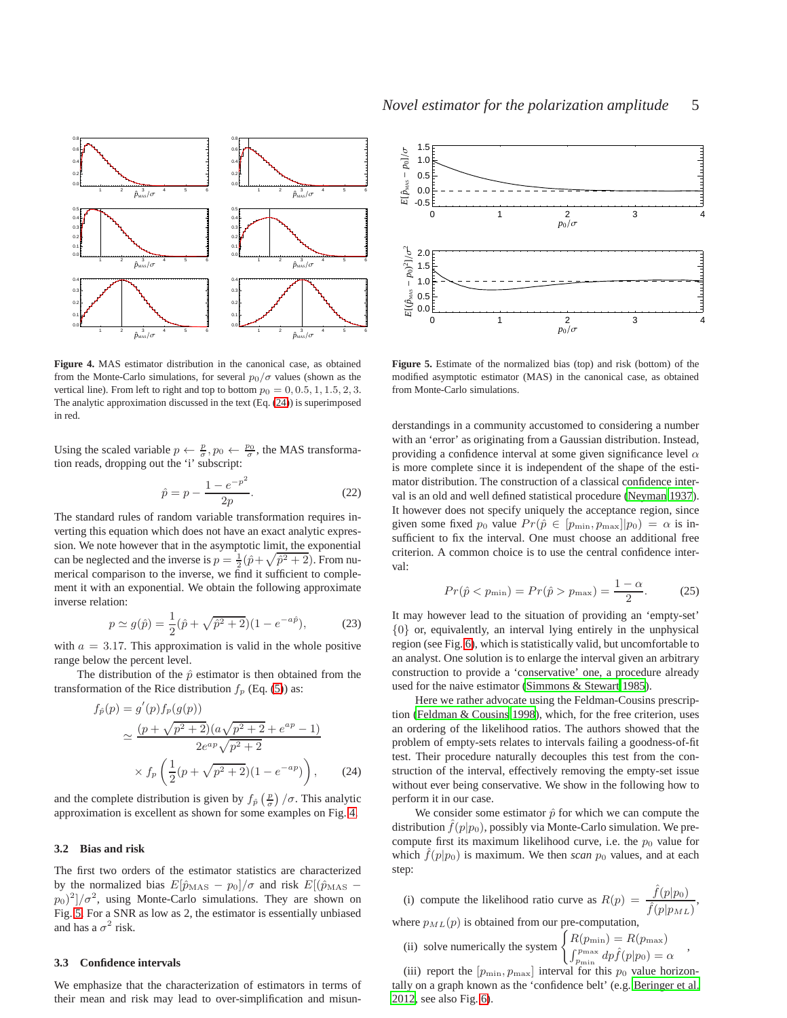

<span id="page-4-1"></span>**Figure 4.** MAS estimator distribution in the canonical case, as obtained from the Monte-Carlo simulations, for several  $p_0/\sigma$  values (shown as the vertical line). From left to right and top to bottom  $p_0 = 0, 0.5, 1, 1.5, 2, 3$ . The analytic approximation discussed in the text (Eq. [\(24\)](#page-4-2)) is superimposed in red.

Using the scaled variable  $p \leftarrow \frac{p}{\sigma}, p_0 \leftarrow \frac{p_0}{\sigma}$ , the MAS transformation reads, dropping out the 'i' subscript:

$$
\hat{p} = p - \frac{1 - e^{-p^2}}{2p}.
$$
\n(22)

The standard rules of random variable transformation requires inverting this equation which does not have an exact analytic expression. We note however that in the asymptotic limit, the exponential can be neglected and the inverse is  $p = \frac{1}{2}(\hat{p} + \sqrt{\hat{p}^2 + 2})$ . From numerical comparison to the inverse, we find it sufficient to complement it with an exponential. We obtain the following approximate inverse relation:

$$
p \simeq g(\hat{p}) = \frac{1}{2}(\hat{p} + \sqrt{\hat{p}^2 + 2})(1 - e^{-a\hat{p}}),
$$
 (23)

with  $a = 3.17$ . This approximation is valid in the whole positive range below the percent level.

The distribution of the  $\hat{p}$  estimator is then obtained from the transformation of the Rice distribution  $f_p$  (Eq. [\(5\)](#page-1-5)) as:

$$
f_{\hat{p}}(p) = g'(p) f_p(g(p))
$$
  
\n
$$
\simeq \frac{(p + \sqrt{p^2 + 2})(a\sqrt{p^2 + 2} + e^{ap} - 1)}{2e^{ap}\sqrt{p^2 + 2}}
$$
  
\n
$$
\times f_p\left(\frac{1}{2}(p + \sqrt{p^2 + 2})(1 - e^{-ap})\right), \qquad (24)
$$

and the complete distribution is given by  $f_{\hat{p}}\left(\frac{p}{\sigma}\right)/\sigma$ . This analytic approximation is excellent as shown for some examples on Fig. [4.](#page-4-1)

## **3.2 Bias and risk**

replacements

The first two orders of the estimator statistics are characterized by the normalized bias  $E[\hat{p}_{\text{MAS}} - p_0]/\sigma$  and risk  $E[(\hat{p}_{\text{MAS}} - p_0)/\sigma]$  $(p_0)^2$ / $\sigma^2$ , using Monte-Carlo simulations. They are shown on Fig. [5.](#page-4-3) For a SNR as low as 2, the estimator is essentially unbiased and has a  $\sigma^2$  risk.

#### <span id="page-4-0"></span>**3.3 Confidence intervals**

We emphasize that the characterization of estimators in terms of their mean and risk may lead to over-simplification and misun-





<span id="page-4-3"></span>**Figure 5.** Estimate of the normalized bias (top) and risk (bottom) of the modified asymptotic estimator (MAS) in the canonical case, as obtained from Monte-Carlo simulations.

derstandings in a community accustomed to considering a number with an 'error' as originating from a Gaussian distribution. Instead, providing a confidence interval at some given significance level  $\alpha$ is more complete since it is independent of the shape of the estimator distribution. The construction of a classical confidence interval is an old and well defined statistical procedure [\(Neyman 1937](#page-7-14)). It however does not specify uniquely the acceptance region, since given some fixed  $p_0$  value  $Pr(\hat{p} \in [p_{\min}, p_{\max}] | p_0) = \alpha$  is insufficient to fix the interval. One must choose an additional free criterion. A common choice is to use the central confidence interval:

$$
Pr(\hat{p} < p_{\min}) = Pr(\hat{p} > p_{\max}) = \frac{1 - \alpha}{2}.\tag{25}
$$

It may however lead to the situation of providing an 'empty-set' {0} or, equivalently, an interval lying entirely in the unphysical region (see Fig. [6\)](#page-5-1), which is statistically valid, but uncomfortable to an analyst. One solution is to enlarge the interval given an arbitrary construction to provide a 'conservative' one, a procedure already used for the naive estimator [\(Simmons & Stewart 1985](#page-7-7)).

Here we rather advocate using the Feldman-Cousins prescription [\(Feldman & Cousins 1998\)](#page-7-15), which, for the free criterion, uses an ordering of the likelihood ratios. The authors showed that the problem of empty-sets relates to intervals failing a goodness-of-fit test. Their procedure naturally decouples this test from the construction of the interval, effectively removing the empty-set issue without ever being conservative. We show in the following how to perform it in our case.

<span id="page-4-2"></span>We consider some estimator  $\hat{p}$  for which we can compute the distribution  $\hat{f}(p|p_0)$ , possibly via Monte-Carlo simulation. We precompute first its maximum likelihood curve, i.e. the  $p_0$  value for which  $\hat{f}(p|p_0)$  is maximum. We then *scan*  $p_0$  values, and at each step:

(i) compute the likelihood ratio curve as 
$$
R(p) = \frac{\hat{f}(p|p_0)}{\hat{f}(p|p_{ML})}
$$
,  
where  $p_{ML}(p)$  is obtained from our pre-computation,  

$$
\begin{cases} R(n+1) - R(n-1) \end{cases}
$$

(ii) solve numerically the system  $\begin{cases} R(p_{\min}) = R(p_{\max}) \\ \frac{c^{p_{\max}}}{2} & \text{if } p \leq 1 \end{cases}$  $\int_{p_{\min}}^{p_{\max}} dp \hat{f}(p|p_0) = \alpha$ 

(iii) report the  $[p_{\min}, p_{\max}]$  interval for this  $p_0$  value horizontally on a graph known as the 'confidence belt' (e.g. [Beringer](#page-7-16) et al. [2012](#page-7-16), see also Fig. [6\)](#page-5-1).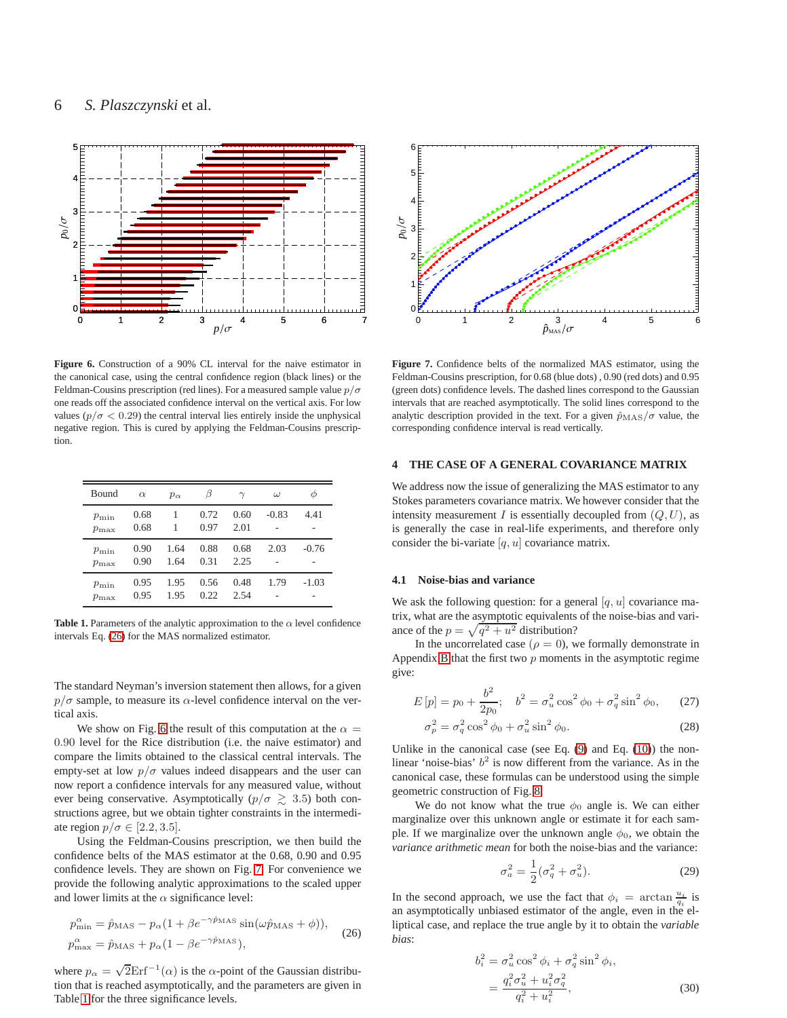

<span id="page-5-1"></span>**Figure 6.** Construction of a 90% CL interval for the naive estimator in the canonical case, using the central confidence region (black lines) or the Feldman-Cousins prescription (red lines). For a measured sample value  $p/\sigma$ one reads off the associated confidence interval on the vertical axis. For low values ( $p/\sigma$  < 0.29) the central interval lies entirely inside the unphysical negative region. This is cured by applying the Feldman-Cousins prescription.

| Bound                    | $\alpha$     | $p_{\alpha}$ |              |              | $\omega$ |         |
|--------------------------|--------------|--------------|--------------|--------------|----------|---------|
| $p_{\min}$<br>$p_{\max}$ | 0.68<br>0.68 |              | 0.72<br>0.97 | 0.60<br>2.01 | $-0.83$  | 4.41    |
| $p_{\min}$<br>$p_{\max}$ | 0.90<br>0.90 | 1.64<br>1.64 | 0.88<br>0.31 | 0.68<br>2.25 | 2.03     | $-0.76$ |
| $p_{\min}$<br>$p_{\max}$ | 0.95<br>0.95 | 1.95<br>1.95 | 0.56<br>0.22 | 0.48<br>2.54 | 1.79     | $-1.03$ |

<span id="page-5-4"></span>**Table 1.** Parameters of the analytic approximation to the  $\alpha$  level confidence intervals Eq. [\(26\)](#page-5-2) for the MAS normalized estimator.

The standard Neyman's inversion statement then allows, for a given  $p/\sigma$  sample, to measure its  $\alpha$ -level confidence interval on the vertical axis.

We show on Fig. [6](#page-5-1) the result of this computation at the  $\alpha =$ 0.90 level for the Rice distribution (i.e. the naive estimator) and compare the limits obtained to the classical central intervals. The empty-set at low  $p/\sigma$  values indeed disappears and the user can now report a confidence intervals for any measured value, without ever being conservative. Asymptotically ( $p/\sigma \gtrsim 3.5$ ) both constructions agree, but we obtain tighter constraints in the intermediate region  $p/\sigma \in [2.2, 3.5]$ .

Using the Feldman-Cousins prescription, we then build the confidence belts of the MAS estimator at the 0.68, 0.90 and 0.95 confidence levels. They are shown on Fig. [7.](#page-5-3) For convenience we provide the following analytic approximations to the scaled upper and lower limits at the  $\alpha$  significance level:

<span id="page-5-2"></span>
$$
p_{\min}^{\alpha} = \hat{p}_{\text{MAS}} - p_{\alpha} (1 + \beta e^{-\gamma \hat{p}_{\text{MAS}}} \sin(\omega \hat{p}_{\text{MAS}} + \phi)),
$$
  
\n
$$
p_{\max}^{\alpha} = \hat{p}_{\text{MAS}} + p_{\alpha} (1 - \beta e^{-\gamma \hat{p}_{\text{MAS}}}),
$$
\n(26)

where  $p_{\alpha} = \sqrt{2} \text{Erf}^{-1}(\alpha)$  is the  $\alpha$ -point of the Gaussian distribution that is reached asymptotically, and the parameters are given in Table [1](#page-5-4) for the three significance levels.



<span id="page-5-3"></span>**Figure 7.** Confidence belts of the normalized MAS estimator, using the Feldman-Cousins prescription, for 0.68 (blue dots) , 0.90 (red dots) and 0.95 (green dots) confidence levels. The dashed lines correspond to the Gaussian intervals that are reached asymptotically. The solid lines correspond to the analytic description provided in the text. For a given  $\hat{p}_{\text{MAS}}/\sigma$  value, the corresponding confidence interval is read vertically.

## <span id="page-5-0"></span>**4 THE CASE OF A GENERAL COVARIANCE MATRIX**

We address now the issue of generalizing the MAS estimator to any Stokes parameters covariance matrix. We however consider that the intensity measurement I is essentially decoupled from  $(Q, U)$ , as is generally the case in real-life experiments, and therefore only consider the bi-variate  $[q, u]$  covariance matrix.

## <span id="page-5-7"></span>**4.1 Noise-bias and variance**

We ask the following question: for a general  $[q, u]$  covariance matrix, what are the asymptotic equivalents of the noise-bias and variance of the  $p = \sqrt{q^2 + u^2}$  distribution?

In the uncorrelated case ( $\rho = 0$ ), we formally demonstrate in Appendix [B](#page-8-1) that the first two  $p$  moments in the asymptotic regime give:

$$
E[p] = p_0 + \frac{b^2}{2p_0}; \quad b^2 = \sigma_u^2 \cos^2 \phi_0 + \sigma_q^2 \sin^2 \phi_0, \quad (27)
$$

$$
\sigma_p^2 = \sigma_q^2 \cos^2 \phi_0 + \sigma_u^2 \sin^2 \phi_0. \tag{28}
$$

Unlike in the canonical case (see Eq.  $(9)$  and Eq.  $(10)$ ) the nonlinear 'noise-bias'  $b^2$  is now different from the variance. As in the canonical case, these formulas can be understood using the simple geometric construction of Fig. [8.](#page-6-0)

We do not know what the true  $\phi_0$  angle is. We can either marginalize over this unknown angle or estimate it for each sample. If we marginalize over the unknown angle  $\phi_0$ , we obtain the *variance arithmetic mean* for both the noise-bias and the variance:

<span id="page-5-5"></span>
$$
\sigma_a^2 = \frac{1}{2} (\sigma_q^2 + \sigma_u^2).
$$
 (29)

In the second approach, we use the fact that  $\phi_i = \arctan \frac{u_i}{q_i}$  is an asymptotically unbiased estimator of the angle, even in the elliptical case, and replace the true angle by it to obtain the *variable bias*:

<span id="page-5-6"></span>
$$
b_i^2 = \sigma_u^2 \cos^2 \phi_i + \sigma_q^2 \sin^2 \phi_i,
$$
  
= 
$$
\frac{q_i^2 \sigma_u^2 + u_i^2 \sigma_q^2}{q_i^2 + u_i^2},
$$
 (30)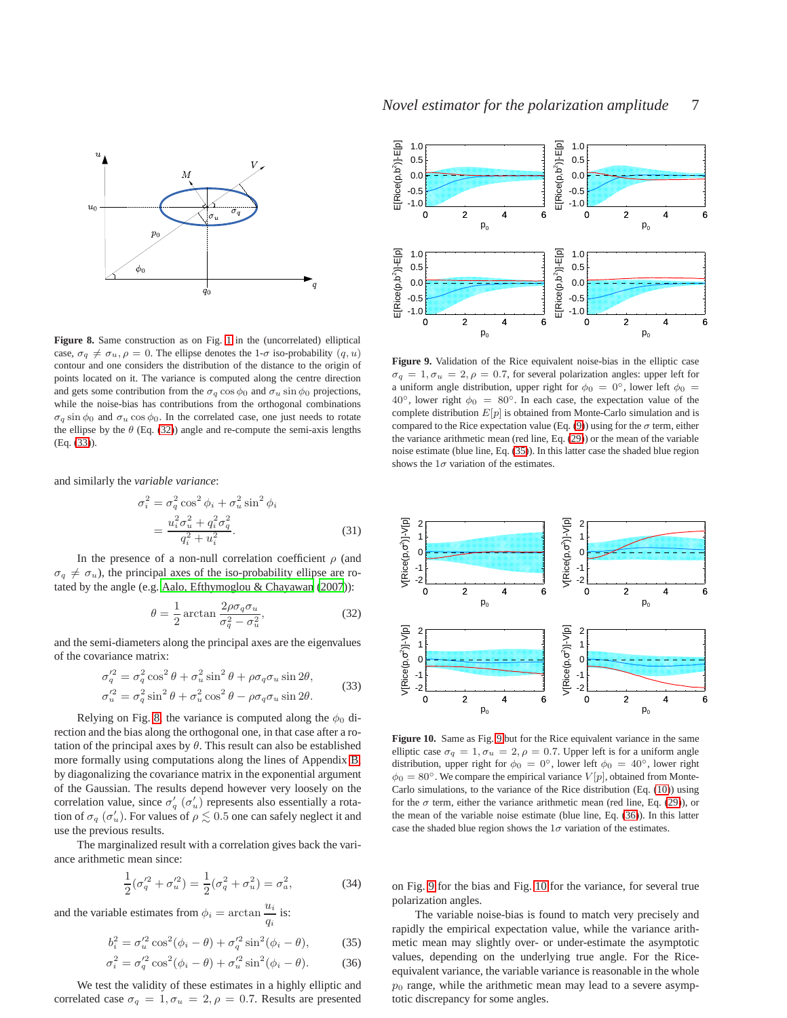

<span id="page-6-0"></span>**Figure 8.** Same construction as on Fig. [1](#page-2-1) in the (uncorrelated) elliptical case,  $\sigma_q \neq \sigma_u$ ,  $\rho = 0$ . The ellipse denotes the 1- $\sigma$  iso-probability  $(q, u)$ contour and one considers the distribution of the distance to the origin of points located on it. The variance is computed along the centre direction and gets some contribution from the  $\sigma_q \cos \phi_0$  and  $\sigma_u \sin \phi_0$  projections, while the noise-bias has contributions from the orthogonal combinations  $\sigma_q \sin \phi_0$  and  $\sigma_u \cos \phi_0$ . In the correlated case, one just needs to rotate the ellipse by the  $\theta$  (Eq. [\(32\)](#page-6-1)) angle and re-compute the semi-axis lengths (Eq. [\(33\)](#page-6-2)).

and similarly the *variable variance*:

$$
\sigma_i^2 = \sigma_q^2 \cos^2 \phi_i + \sigma_u^2 \sin^2 \phi_i \n= \frac{u_i^2 \sigma_u^2 + q_i^2 \sigma_q^2}{q_i^2 + u_i^2}.
$$
\n(31)

In the presence of a non-null correlation coefficient  $\rho$  (and  $\sigma_q \neq \sigma_u$ ), the principal axes of the iso-probability ellipse are rotated by the angle (e.g. [Aalo, Efthymoglou & Chayawan](#page-7-17) [\(2007](#page-7-17))):

<span id="page-6-1"></span>
$$
\theta = \frac{1}{2} \arctan \frac{2\rho \sigma_q \sigma_u}{\sigma_q^2 - \sigma_u^2},\tag{32}
$$

and the semi-diameters along the principal axes are the eigenvalues of the covariance matrix:

$$
\sigma_q^{\prime 2} = \sigma_q^2 \cos^2 \theta + \sigma_u^2 \sin^2 \theta + \rho \sigma_q \sigma_u \sin 2\theta,
$$
  
\n
$$
\sigma_u^{\prime 2} = \sigma_q^2 \sin^2 \theta + \sigma_u^2 \cos^2 \theta - \rho \sigma_q \sigma_u \sin 2\theta.
$$
\n(33)

<span id="page-6-2"></span>Relying on Fig. [8,](#page-6-0) the variance is computed along the  $\phi_0$  direction and the bias along the orthogonal one, in that case after a rotation of the principal axes by  $\theta$ . This result can also be established more formally using computations along the lines of Appendix [B,](#page-8-1) by diagonalizing the covariance matrix in the exponential argument of the Gaussian. The results depend however very loosely on the correlation value, since  $\sigma'_q$  ( $\sigma'_u$ ) represents also essentially a rotation of  $\sigma_q$  ( $\sigma'_u$ ). For values of  $\rho \lesssim 0.5$  one can safely neglect it and use the previous results.

The marginalized result with a correlation gives back the variance arithmetic mean since:

$$
\frac{1}{2}(\sigma_q^2 + \sigma_u^2) = \frac{1}{2}(\sigma_q^2 + \sigma_u^2) = \sigma_a^2,\tag{34}
$$

and the variable estimates from  $\phi_i = \arctan \frac{u_i}{u_i}$  $\frac{a_i}{q_i}$  is:

$$
b_i^2 = \sigma_u'^2 \cos^2(\phi_i - \theta) + \sigma_q'^2 \sin^2(\phi_i - \theta),
$$
 (35)

$$
\sigma_i^2 = \sigma_q'^2 \cos^2(\phi_i - \theta) + \sigma_u'^2 \sin^2(\phi_i - \theta).
$$
 (36)

We test the validity of these estimates in a highly elliptic and correlated case  $\sigma_q = 1, \sigma_u = 2, \rho = 0.7$ . Results are presented





<span id="page-6-4"></span>**Figure 9.** Validation of the Rice equivalent noise-bias in the elliptic case  $\sigma_q = 1, \sigma_u = 2, \rho = 0.7$ , for several polarization angles: upper left for a uniform angle distribution, upper right for  $\phi_0 = 0^\circ$ , lower left  $\phi_0 =$  $40^\circ$ , lower right  $\phi_0 = 80^\circ$ . In each case, the expectation value of the complete distribution  $E[p]$  is obtained from Monte-Carlo simulation and is compared to the Rice expectation value (Eq. [\(9\)](#page-1-2)) using for the  $\sigma$  term, either the variance arithmetic mean (red line, Eq. [\(29\)](#page-5-5)) or the mean of the variable noise estimate (blue line, Eq. [\(35\)](#page-6-3)). In this latter case the shaded blue region shows the  $1\sigma$  variation of the estimates.



<span id="page-6-6"></span>**Figure 10.** Same as Fig. [9](#page-6-4) but for the Rice equivalent variance in the same elliptic case  $\sigma_q = 1, \sigma_u = 2, \rho = 0.7$ . Upper left is for a uniform angle distribution, upper right for  $\phi_0 = 0^\circ$ , lower left  $\phi_0 = 40^\circ$ , lower right  $\phi_0 = 80^\circ$ . We compare the empirical variance  $V[p]$ , obtained from Monte-Carlo simulations, to the variance of the Rice distribution (Eq. [\(10\)](#page-1-3)) using for the  $\sigma$  term, either the variance arithmetic mean (red line, Eq. [\(29\)](#page-5-5)), or the mean of the variable noise estimate (blue line, Eq. [\(36\)](#page-6-5)). In this latter case the shaded blue region shows the  $1\sigma$  variation of the estimates.

on Fig. [9](#page-6-4) for the bias and Fig. [10](#page-6-6) for the variance, for several true polarization angles.

<span id="page-6-5"></span><span id="page-6-3"></span>The variable noise-bias is found to match very precisely and rapidly the empirical expectation value, while the variance arithmetic mean may slightly over- or under-estimate the asymptotic values, depending on the underlying true angle. For the Riceequivalent variance, the variable variance is reasonable in the whole  $p<sub>0</sub>$  range, while the arithmetic mean may lead to a severe asymptotic discrepancy for some angles.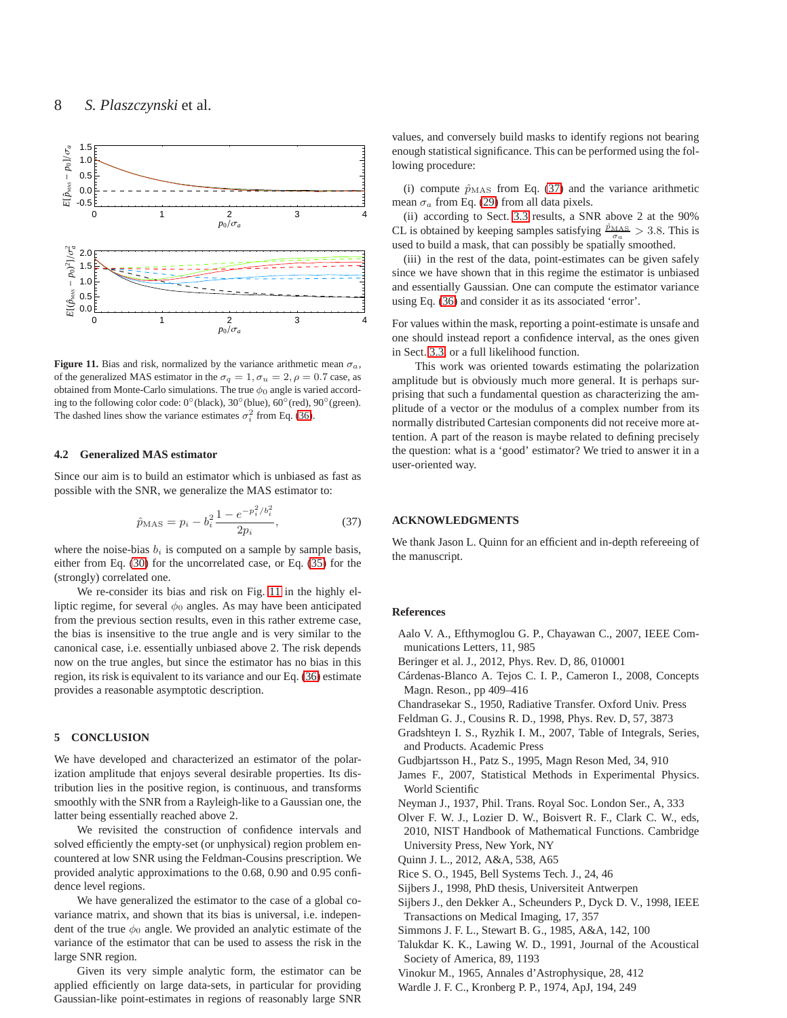

<span id="page-7-18"></span>**Figure 11.** Bias and risk, normalized by the variance arithmetic mean  $\sigma_a$ , of the generalized MAS estimator in the  $\sigma_q = 1$ ,  $\sigma_u = 2$ ,  $\rho = 0.7$  case, as obtained from Monte-Carlo simulations. The true  $\phi_0$  angle is varied according to the following color code: 0◦ (black), 30◦ (blue), 60◦ (red), 90◦ (green). The dashed lines show the variance estimates  $\sigma_i^2$  from Eq. [\(36\)](#page-6-5).

#### **4.2 Generalized MAS estimator**

Since our aim is to build an estimator which is unbiased as fast as possible with the SNR, we generalize the MAS estimator to:

<span id="page-7-19"></span>
$$
\hat{p}_{\text{MAS}} = p_i - b_i^2 \frac{1 - e^{-p_i^2/b_i^2}}{2p_i},\tag{37}
$$

where the noise-bias  $b_i$  is computed on a sample by sample basis, either from Eq. [\(30\)](#page-5-6) for the uncorrelated case, or Eq. [\(35\)](#page-6-3) for the (strongly) correlated one.

We re-consider its bias and risk on Fig. [11](#page-7-18) in the highly elliptic regime, for several  $\phi_0$  angles. As may have been anticipated from the previous section results, even in this rather extreme case, the bias is insensitive to the true angle and is very similar to the canonical case, i.e. essentially unbiased above 2. The risk depends now on the true angles, but since the estimator has no bias in this region, its risk is equivalent to its variance and our Eq. [\(36\)](#page-6-5) estimate provides a reasonable asymptotic description.

## **5 CONCLUSION**

We have developed and characterized an estimator of the polarization amplitude that enjoys several desirable properties. Its distribution lies in the positive region, is continuous, and transforms smoothly with the SNR from a Rayleigh-like to a Gaussian one, the latter being essentially reached above 2.

We revisited the construction of confidence intervals and solved efficiently the empty-set (or unphysical) region problem encountered at low SNR using the Feldman-Cousins prescription. We provided analytic approximations to the 0.68, 0.90 and 0.95 confidence level regions.

We have generalized the estimator to the case of a global covariance matrix, and shown that its bias is universal, i.e. independent of the true  $\phi_0$  angle. We provided an analytic estimate of the variance of the estimator that can be used to assess the risk in the large SNR region.

Given its very simple analytic form, the estimator can be applied efficiently on large data-sets, in particular for providing Gaussian-like point-estimates in regions of reasonably large SNR

values, and conversely build masks to identify regions not bearing enough statistical significance. This can be performed using the following procedure:

(i) compute  $\hat{p}_{\text{MAS}}$  from Eq. [\(37\)](#page-7-19) and the variance arithmetic mean  $\sigma_a$  from Eq. [\(29\)](#page-5-5) from all data pixels.

(ii) according to Sect. [3.3](#page-4-0) results, a SNR above 2 at the 90% CL is obtained by keeping samples satisfying  $\frac{\hat{p}_{\text{MAS}}}{\sigma_a} > 3.8$ . This is used to build a mask, that can possibly be spatially smoothed.

(iii) in the rest of the data, point-estimates can be given safely since we have shown that in this regime the estimator is unbiased and essentially Gaussian. One can compute the estimator variance using Eq. [\(36\)](#page-6-5) and consider it as its associated 'error'.

For values within the mask, reporting a point-estimate is unsafe and one should instead report a confidence interval, as the ones given in Sect. [3.3,](#page-4-0) or a full likelihood function.

This work was oriented towards estimating the polarization amplitude but is obviously much more general. It is perhaps surprising that such a fundamental question as characterizing the amplitude of a vector or the modulus of a complex number from its normally distributed Cartesian components did not receive more attention. A part of the reason is maybe related to defining precisely the question: what is a 'good' estimator? We tried to answer it in a user-oriented way.

## **ACKNOWLEDGMENTS**

We thank Jason L. Quinn for an efficient and in-depth refereeing of the manuscript.

## **References**

- <span id="page-7-17"></span>Aalo V. A., Efthymoglou G. P., Chayawan C., 2007, IEEE Communications Letters, 11, 985
- <span id="page-7-16"></span>Beringer et al. J., 2012, Phys. Rev. D, 86, 010001
- <span id="page-7-13"></span>Cárdenas-Blanco A. Tejos C. I. P., Cameron I., 2008, Concepts Magn. Reson., pp 409–416
- <span id="page-7-0"></span>Chandrasekar S., 1950, Radiative Transfer. Oxford Univ. Press
- <span id="page-7-15"></span>Feldman G. J., Cousins R. D., 1998, Phys. Rev. D, 57, 3873
- <span id="page-7-10"></span>Gradshteyn I. S., Ryzhik I. M., 2007, Table of Integrals, Series, and Products. Academic Press
- <span id="page-7-2"></span>Gudbjartsson H., Patz S., 1995, Magn Reson Med, 34, 910
- <span id="page-7-3"></span>James F., 2007, Statistical Methods in Experimental Physics. World Scientific
- <span id="page-7-14"></span>Neyman J., 1937, Phil. Trans. Royal Soc. London Ser., A, 333
- <span id="page-7-11"></span>Olver F. W. J., Lozier D. W., Boisvert R. F., Clark C. W., eds, 2010, NIST Handbook of Mathematical Functions. Cambridge University Press, New York, NY
- <span id="page-7-8"></span>Quinn J. L., 2012, A&A, 538, A65
- <span id="page-7-9"></span>Rice S. O., 1945, Bell Systems Tech. J., 24, 46
- <span id="page-7-12"></span>Sijbers J., 1998, PhD thesis, Universiteit Antwerpen
- <span id="page-7-5"></span>Sijbers J., den Dekker A., Scheunders P., Dyck D. V., 1998, IEEE Transactions on Medical Imaging, 17, 357
- <span id="page-7-7"></span>Simmons J. F. L., Stewart B. G., 1985, A&A, 142, 100
- <span id="page-7-4"></span>Talukdar K. K., Lawing W. D., 1991, Journal of the Acoustical Society of America, 89, 1193
- <span id="page-7-1"></span>Vinokur M., 1965, Annales d'Astrophysique, 28, 412
- <span id="page-7-6"></span>Wardle J. F. C., Kronberg P. P., 1974, ApJ, 194, 249